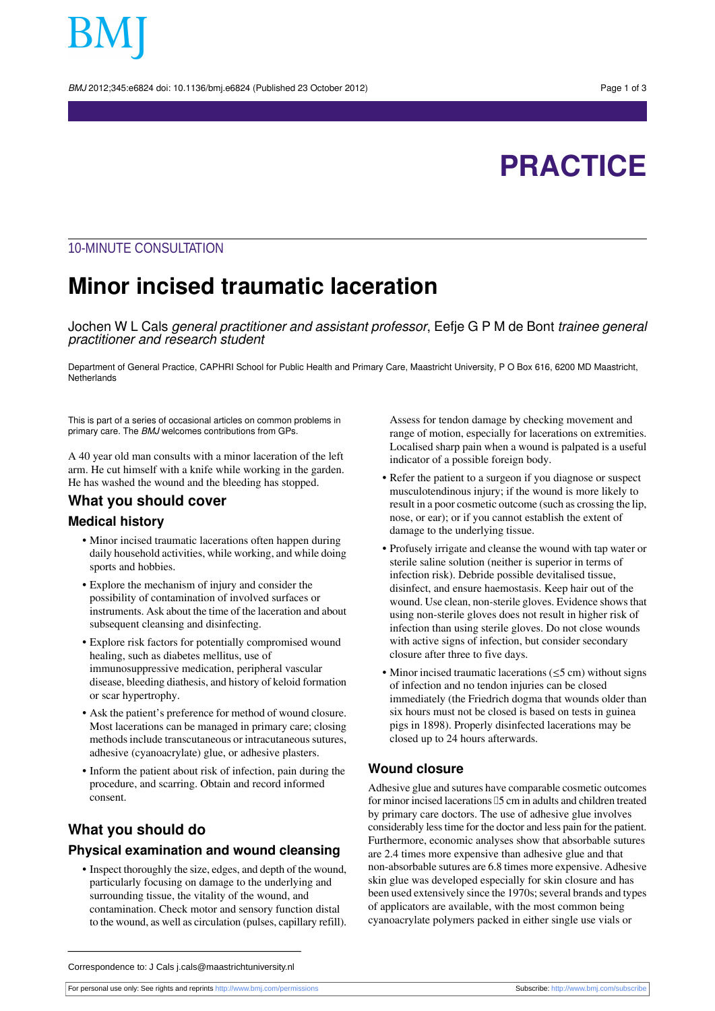BMJ 2012:345:e6824 doi: 10.1136/bmi.e6824 (Published 23 October 2012) Page 1 of 3

# **PRACTICE**

### 10-MINUTE CONSULTATION

# **Minor incised traumatic laceration**

Jochen W L Cals general practitioner and assistant professor, Eefje G P M de Bont trainee general practitioner and research student

Department of General Practice, CAPHRI School for Public Health and Primary Care, Maastricht University, P O Box 616, 6200 MD Maastricht, Netherlands

This is part of a series of occasional articles on common problems in primary care. The BMJ welcomes contributions from GPs.

A 40 year old man consults with a minor laceration of the left arm. He cut himself with a knife while working in the garden. He has washed the wound and the bleeding has stopped.

#### **What you should cover**

#### **Medical history**

- **•** Minor incised traumatic lacerations often happen during daily household activities, while working, and while doing sports and hobbies.
- **•** Explore the mechanism of injury and consider the possibility of contamination of involved surfaces or instruments. Ask about the time of the laceration and about subsequent cleansing and disinfecting.
- **•** Explore risk factors for potentially compromised wound healing, such as diabetes mellitus, use of immunosuppressive medication, peripheral vascular disease, bleeding diathesis, and history of keloid formation or scar hypertrophy.
- **•** Ask the patient's preference for method of wound closure. Most lacerations can be managed in primary care; closing methods include transcutaneous or intracutaneous sutures, adhesive (cyanoacrylate) glue, or adhesive plasters.
- **•** Inform the patient about risk of infection, pain during the procedure, and scarring. Obtain and record informed consent.

### **What you should do**

#### **Physical examination and wound cleansing**

**•** Inspect thoroughly the size, edges, and depth of the wound, particularly focusing on damage to the underlying and surrounding tissue, the vitality of the wound, and contamination. Check motor and sensory function distal to the wound, as well as circulation (pulses, capillary refill). Assess for tendon damage by checking movement and range of motion, especially for lacerations on extremities. Localised sharp pain when a wound is palpated is a useful indicator of a possible foreign body.

- **•** Refer the patient to a surgeon if you diagnose or suspect musculotendinous injury; if the wound is more likely to result in a poor cosmetic outcome (such as crossing the lip, nose, or ear); or if you cannot establish the extent of damage to the underlying tissue.
- **•** Profusely irrigate and cleanse the wound with tap water or sterile saline solution (neither is superior in terms of infection risk). Debride possible devitalised tissue, disinfect, and ensure haemostasis. Keep hair out of the wound. Use clean, non-sterile gloves. Evidence showsthat using non-sterile gloves does not result in higher risk of infection than using sterile gloves. Do not close wounds with active signs of infection, but consider secondary closure after three to five days.
- **•** Minor incised traumatic lacerations (≤5 cm) without signs of infection and no tendon injuries can be closed immediately (the Friedrich dogma that wounds older than six hours must not be closed is based on tests in guinea pigs in 1898). Properly disinfected lacerations may be closed up to 24 hours afterwards.

#### **Wound closure**

Adhesive glue and sutures have comparable cosmetic outcomes for minor incised lacerations  $\square$  5 cm in adults and children treated by primary care doctors. The use of adhesive glue involves considerably less time for the doctor and less pain for the patient. Furthermore, economic analyses show that absorbable sutures are 2.4 times more expensive than adhesive glue and that non-absorbable sutures are 6.8 times more expensive. Adhesive skin glue was developed especially for skin closure and has been used extensively since the 1970s; several brands and types of applicators are available, with the most common being cyanoacrylate polymers packed in either single use vials or

Correspondence to: J Cals j.cals@maastrichtuniversity.nl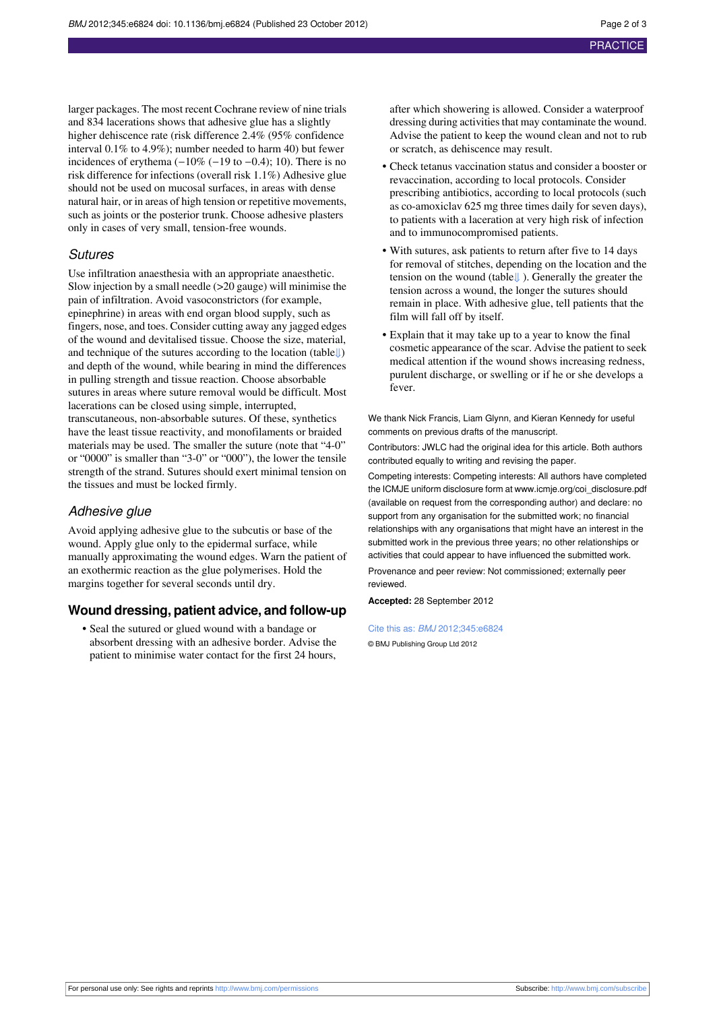larger packages. The most recent Cochrane review of nine trials and 834 lacerations shows that adhesive glue has a slightly higher dehiscence rate (risk difference 2.4% (95% confidence interval 0.1% to 4.9%); number needed to harm 40) but fewer incidences of erythema  $(-10\% (-19 \text{ to } -0.4); 10)$ . There is no risk difference for infections (overall risk 1.1%) Adhesive glue should not be used on mucosal surfaces, in areas with dense natural hair, or in areas of high tension or repetitive movements, such as joints or the posterior trunk. Choose adhesive plasters only in cases of very small, tension-free wounds.

#### **Sutures**

Use infiltration anaesthesia with an appropriate anaesthetic. Slow injection by a small needle (>20 gauge) will minimise the pain of infiltration. Avoid vasoconstrictors (for example, epinephrine) in areas with end organ blood supply, such as fingers, nose, and toes. Consider cutting away any jagged edges of the wound and devitalised tissue. Choose the size, material, and technique of the sutures according to the location (tabl[e⇓](#page-2-0)) and depth of the wound, while bearing in mind the differences in pulling strength and tissue reaction. Choose absorbable sutures in areas where suture removal would be difficult. Most lacerations can be closed using simple, interrupted, transcutaneous, non-absorbable sutures. Of these, synthetics have the least tissue reactivity, and monofilaments or braided materials may be used. The smaller the suture (note that "4-0" or "0000" is smaller than "3-0" or "000"), the lower the tensile strength of the strand. Sutures should exert minimal tension on the tissues and must be locked firmly.

#### Adhesive glue

Avoid applying adhesive glue to the subcutis or base of the wound. Apply glue only to the epidermal surface, while manually approximating the wound edges. Warn the patient of an exothermic reaction as the glue polymerises. Hold the margins together for several seconds until dry.

#### **Wound dressing, patient advice, and follow-up**

**•** Seal the sutured or glued wound with a bandage or absorbent dressing with an adhesive border. Advise the patient to minimise water contact for the first 24 hours,

after which showering is allowed. Consider a waterproof dressing during activities that may contaminate the wound. Advise the patient to keep the wound clean and not to rub or scratch, as dehiscence may result.

- **•** Check tetanus vaccination status and consider a booster or revaccination, according to local protocols. Consider prescribing antibiotics, according to local protocols (such as co-amoxiclav 625 mg three times daily for seven days), to patients with a laceration at very high risk of infection and to immunocompromised patients.
- **•** With sutures, ask patients to return after five to 14 days for removal of stitches, depending on the location and the tension on the wound (table[⇓](#page-2-0) ). Generally the greater the tension across a wound, the longer the sutures should remain in place. With adhesive glue, tell patients that the film will fall off by itself.
- **•** Explain that it may take up to a year to know the final cosmetic appearance of the scar. Advise the patient to seek medical attention if the wound shows increasing redness, purulent discharge, or swelling or if he or she develops a fever.

We thank Nick Francis, Liam Glynn, and Kieran Kennedy for useful comments on previous drafts of the manuscript.

Contributors: JWLC had the original idea for this article. Both authors contributed equally to writing and revising the paper.

Competing interests: Competing interests: All authors have completed the ICMJE uniform disclosure form at [www.icmje.org/coi\\_disclosure.pdf](http://www.icmje.org/coi_disclosure.pdf) (available on request from the corresponding author) and declare: no support from any organisation for the submitted work; no financial relationships with any organisations that might have an interest in the submitted work in the previous three years; no other relationships or activities that could appear to have influenced the submitted work. Provenance and peer review: Not commissioned; externally peer reviewed.

**Accepted:** 28 September 2012

#### Cite this as: BMJ 2012;345:e6824

© BMJ Publishing Group Ltd 2012